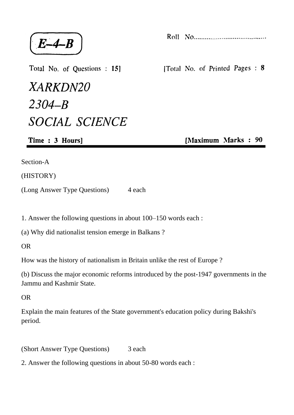$E-4-B$ 

Total No. of Questions : 15]

XARKDN20  $2304 - B$ **SOCIAL SCIENCE** 

Time: 3 Hours]

Section-A

(HISTORY)

(Long Answer Type Questions) 4 each

1. Answer the following questions in about 100–150 words each :

(a) Why did nationalist tension emerge in Balkans ?

OR

How was the history of nationalism in Britain unlike the rest of Europe ?

(b) Discuss the major economic reforms introduced by the post-1947 governments in the Jammu and Kashmir State.

OR

Explain the main features of the State government's education policy during Bakshi's period.

(Short Answer Type Questions) 3 each

2. Answer the following questions in about 50-80 words each :

[Total No. of Printed Pages: 8

[Maximum Marks: 90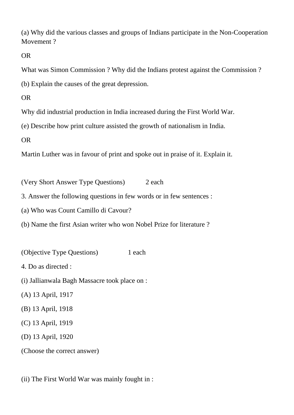(a) Why did the various classes and groups of Indians participate in the Non-Cooperation Movement ?

OR

What was Simon Commission ? Why did the Indians protest against the Commission ?

(b) Explain the causes of the great depression.

OR

Why did industrial production in India increased during the First World War.

(e) Describe how print culture assisted the growth of nationalism in India.

OR

Martin Luther was in favour of print and spoke out in praise of it. Explain it.

(Very Short Answer Type Questions) 2 each

3. Answer the following questions in few words or in few sentences :

(a) Who was Count Camillo di Cavour?

(b) Name the first Asian writer who won Nobel Prize for literature ?

(Objective Type Questions) 1 each 4. Do as directed : (i) Jallianwala Bagh Massacre took place on : (A) 13 April, 1917 (B) 13 April, 1918 (C) 13 April, 1919 (D) 13 April, 1920 (Choose the correct answer)

(ii) The First World War was mainly fought in :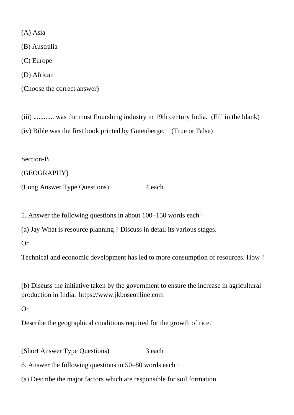(A) Asia

(B) Australia

(C) Europe

(D) African

(Choose the correct answer)

(iii) ............ was the most flourshing industry in 19th century India. (Fill in the blank)

(iv) Bible was the first book printed by Gutenberge. (True or False)

Section-B

(GEOGRAPHY)

(Long Answer Type Questions) 4 each

5. Answer the following questions in about 100–150 words each :

(a) Jay What is resource planning ? Discuss in detail its various stages.

Or

Technical and economic development has led to more consumption of resources. How ?

(b) Discuss the initiative taken by the government to ensure the increase in agricultural production in India. https://www.jkboseonline.com

Or

Describe the geographical conditions required for the growth of rice.

(Short Answer Type Questions) 3 each

6. Answer the following questions in 50–80 words each :

(a) Describe the major factors which are responsible for soil formation.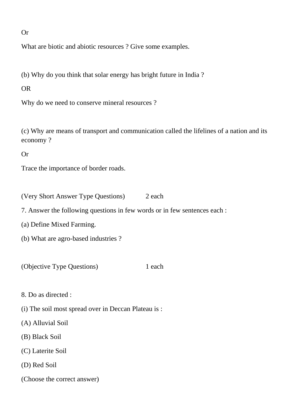Or

What are biotic and abiotic resources ? Give some examples.

(b) Why do you think that solar energy has bright future in India ?

OR

Why do we need to conserve mineral resources ?

(c) Why are means of transport and communication called the lifelines of a nation and its economy ?

Or

Trace the importance of border roads.

(Very Short Answer Type Questions) 2 each

7. Answer the following questions in few words or in few sentences each :

(a) Define Mixed Farming.

(b) What are agro-based industries ?

(Objective Type Questions) 1 each

8. Do as directed :

(i) The soil most spread over in Deccan Plateau is :

(A) Alluvial Soil

(B) Black Soil

(C) Laterite Soil

(D) Red Soil

(Choose the correct answer)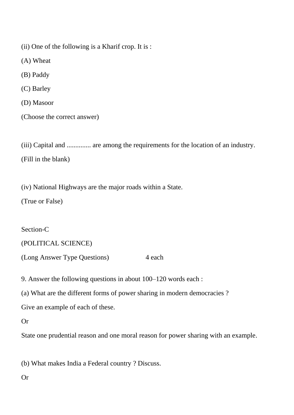(ii) One of the following is a Kharif crop. It is :

(A) Wheat

(B) Paddy

(C) Barley

(D) Masoor

(Choose the correct answer)

(iii) Capital and .............. are among the requirements for the location of an industry. (Fill in the blank)

(iv) National Highways are the major roads within a State.

(True or False)

Section-C

(POLITICAL SCIENCE)

(Long Answer Type Questions) 4 each

9. Answer the following questions in about 100–120 words each :

(a) What are the different forms of power sharing in modern democracies ?

Give an example of each of these.

Or

State one prudential reason and one moral reason for power sharing with an example.

(b) What makes India a Federal country ? Discuss.

Or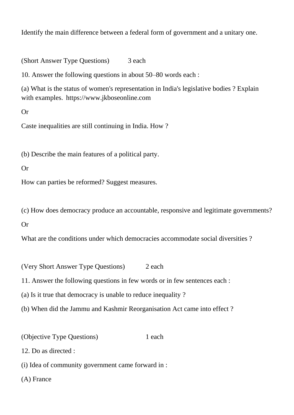Identify the main difference between a federal form of government and a unitary one.

(Short Answer Type Questions) 3 each

10. Answer the following questions in about 50–80 words each :

(a) What is the status of women's representation in India's legislative bodies ? Explain with examples. https://www.jkboseonline.com

Or

Caste inequalities are still continuing in India. How ?

(b) Describe the main features of a political party.

Or

How can parties be reformed? Suggest measures.

(c) How does democracy produce an accountable, responsive and legitimate governments?

Or

What are the conditions under which democracies accommodate social diversities?

(Very Short Answer Type Questions) 2 each

11. Answer the following questions in few words or in few sentences each :

(a) Is it true that democracy is unable to reduce inequality ?

(b) When did the Jammu and Kashmir Reorganisation Act came into effect ?

(Objective Type Questions) 1 each

12. Do as directed :

(i) Idea of community government came forward in :

(A) France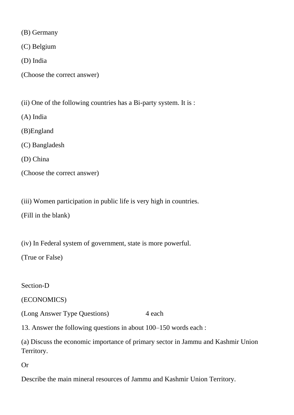(B) Germany

(C) Belgium

(D) India

(Choose the correct answer)

(ii) One of the following countries has a Bi-party system. It is :

(A) India

(B)England

(C) Bangladesh

(D) China

(Choose the correct answer)

(iii) Women participation in public life is very high in countries.

(Fill in the blank)

(iv) In Federal system of government, state is more powerful.

(True or False)

Section-D

(ECONOMICS)

(Long Answer Type Questions) 4 each

13. Answer the following questions in about 100–150 words each :

(a) Discuss the economic importance of primary sector in Jammu and Kashmir Union Territory.

Or

Describe the main mineral resources of Jammu and Kashmir Union Territory.